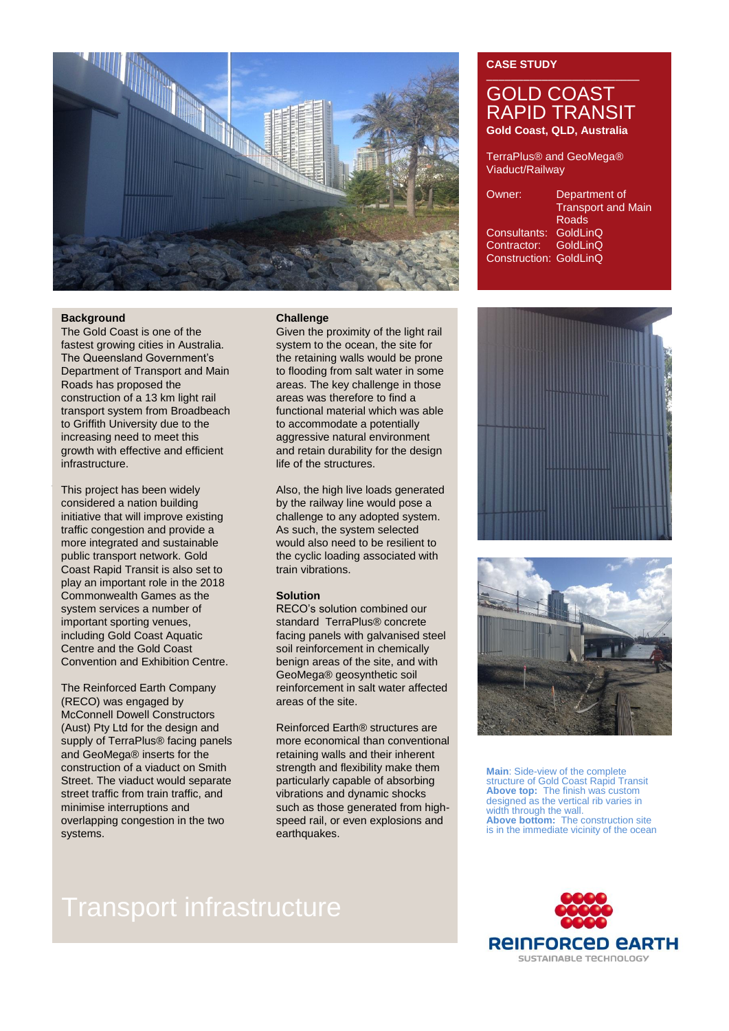

#### **Background**

The Gold Coast is one of the fastest growing cities in Australia. The Queensland Government's Department of Transport and Main Roads has proposed the construction of a 13 km light rail transport system from Broadbeach to Griffith University due to the increasing need to meet this growth with effective and efficient infrastructure.

system services a number of the transportant sporting venues,<br>important sporting venues, the standard Terminister of the standard Terminister of the sport This project has been widely considered a nation building initiative that will improve existing traffic congestion and provide a more integrated and sustainable public transport network. Gold Coast Rapid Transit is also set to play an important role in the 2018 Commonwealth Games as the system services a number of including Gold Coast Aquatic Centre and the Gold Coast Convention and Exhibition Centre.

The Reinforced Earth Company (RECO) was engaged by McConnell Dowell Constructors (Aust) Pty Ltd for the design and supply of TerraPlus® facing panels and GeoMega® inserts for the construction of a viaduct on Smith Street. The viaduct would separate street traffic from train traffic, and minimise interruptions and overlapping congestion in the two systems.

#### **Challenge**

Given the proximity of the light rail system to the ocean, the site for the retaining walls would be prone to flooding from salt water in some areas. The key challenge in those areas was therefore to find a functional material which was able to accommodate a potentially aggressive natural environment and retain durability for the design life of the structures.

Also, the high live loads generated by the railway line would pose a challenge to any adopted system. As such, the system selected would also need to be resilient to the cyclic loading associated with train vibrations.

#### **Solution**

RECO's solution combined our standard TerraPlus® concrete facing panels with galvanised steel soil reinforcement in chemically benign areas of the site, and with GeoMega® geosynthetic soil reinforcement in salt water affected areas of the site.

Reinforced Earth® structures are more economical than conventional retaining walls and their inherent strength and flexibility make them particularly capable of absorbing vibrations and dynamic shocks such as those generated from highspeed rail, or even explosions and earthquakes.

### **CASE STUDY**

## GOLD COAST RAPID TRANSIT **Gold Coast, QLD, Australia**

TerraPlus® and GeoMega® Viaduct/Railway

| Department of             |
|---------------------------|
| <b>Transport and Main</b> |
| Roads                     |
| Consultants: GoldLinQ     |
| Contractor: GoldLinQ      |
| Construction: GoldLinQ    |
|                           |





**Main**: Side-view of the complete structure of Gold Coast Rapid Transit **Above top:** The finish was custom designed as the vertical rib varies in width through the wall. **Above bottom:** The construction site is in the immediate vicinity of the ocean



# Transport infrastructure